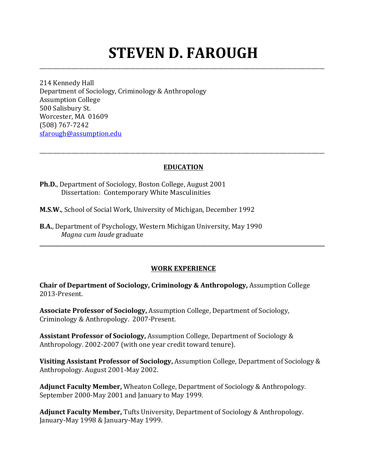# **STEVEN D. FAROUGH**

\_\_\_\_\_\_\_\_\_\_\_\_\_\_\_\_\_\_\_\_\_\_\_\_\_\_\_\_\_\_\_\_\_\_\_\_\_\_\_\_\_\_\_\_\_\_\_\_\_\_\_\_\_\_\_\_\_\_\_\_\_\_\_\_\_\_\_\_\_\_\_\_\_\_\_\_\_\_\_\_\_\_\_\_\_\_\_\_\_\_\_\_\_\_\_\_\_\_\_\_\_\_\_\_\_\_\_

214 Kennedy Hall Department of Sociology, Criminology & Anthropology Assumption College 500 Salisbury St. Worcester, MA 01609 (508) 767-7242 sfarough@assumption.edu

## **EDUCATION**

\_\_\_\_\_\_\_\_\_\_\_\_\_\_\_\_\_\_\_\_\_\_\_\_\_\_\_\_\_\_\_\_\_\_\_\_\_\_\_\_\_\_\_\_\_\_\_\_\_\_\_\_\_\_\_\_\_\_\_\_\_\_\_\_\_\_\_\_\_\_\_\_\_\_\_\_\_\_\_\_\_\_\_\_\_\_\_\_\_\_\_\_\_\_\_\_\_\_\_\_\_\_\_\_\_\_\_

**Ph.D.**, Department of Sociology, Boston College, August 2001 Dissertation: Contemporary White Masculinities

**M.S.W.**, School of Social Work, University of Michigan, December 1992

**B.A.**, Department of Psychology, Western Michigan University, May 1990 *Magna cum laude* graduate

## **WORK EXPERIENCE**

**\_\_\_\_\_\_\_\_\_\_\_\_\_\_\_\_\_\_\_\_\_\_\_\_\_\_\_\_\_\_\_\_\_\_\_\_\_\_\_\_\_\_\_\_\_\_\_\_\_\_\_\_\_\_\_\_\_\_\_\_\_\_\_\_\_\_\_\_\_\_\_\_\_\_\_\_\_\_\_\_\_\_\_\_\_\_\_\_\_\_\_\_\_\_\_\_\_\_\_\_\_\_\_\_\_\_\_**

**Chair of Department of Sociology, Criminology & Anthropology, Assumption College** 2013-Present.

**Associate Professor of Sociology, Assumption College, Department of Sociology,** Criminology & Anthropology. 2007-Present.

**Assistant Professor of Sociology, Assumption College, Department of Sociology &** Anthropology. 2002-2007 (with one year credit toward tenure).

**Visiting Assistant Professor of Sociology, Assumption College, Department of Sociology &** Anthropology. August 2001-May 2002.

**Adjunct Faculty Member,** Wheaton College, Department of Sociology & Anthropology. September 2000-May 2001 and January to May 1999.

Adjunct Faculty Member, Tufts University, Department of Sociology & Anthropology. January-May 1998 & January-May 1999.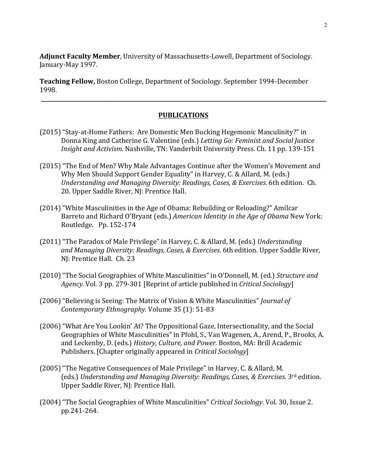Adjunct Faculty Member, University of Massachusetts-Lowell, Department of Sociology. January-May 1997.

**Teaching Fellow,** Boston College, Department of Sociology. September 1994-December 1998.

#### **PUBLICATIONS**

**\_\_\_\_\_\_\_\_\_\_\_\_\_\_\_\_\_\_\_\_\_\_\_\_\_\_\_\_\_\_\_\_\_\_\_\_\_\_\_\_\_\_\_\_\_\_\_\_\_\_\_\_\_\_\_\_\_\_\_\_\_\_\_\_\_\_\_\_\_\_\_\_\_\_\_\_\_\_\_\_\_\_\_\_\_\_\_\_\_\_\_\_\_\_\_\_\_\_\_\_\_\_\_\_\_\_\_**

- (2015) "Stay-at-Home Fathers: Are Domestic Men Bucking Hegemonic Masculinity?" in Donna King and Catherine G. Valentine (eds.) *Letting Go: Feminist and Social Justice Insight and Activism.* Nashville, TN: Vanderbilt University Press. Ch. 11 pp. 139-151
- (2015) "The End of Men? Why Male Advantages Continue after the Women's Movement and Why Men Should Support Gender Equality" in Harvey, C. & Allard, M. (eds.) *Understanding and Managing Diversity: Readings, Cases, & Exercises.* 6th edition. Ch. 20. Upper Saddle River, NJ: Prentice Hall.
- (2014) "White Masculinities in the Age of Obama: Rebuilding or Reloading?" Amílcar Barreto and Richard O'Bryant (eds.) *American Identity in the Age of Obama* New York: Routledge. Pp. 152-174
- (2011) "The Paradox of Male Privilege" in Harvey, C. & Allard, M. (eds.) *Understanding* and Managing Diversity: Readings, Cases, & Exercises. 6th edition. Upper Saddle River, NJ: Prentice Hall. Ch. 23
- (2010) "The Social Geographies of White Masculinities" in O'Donnell, M. (ed.) *Structure and Agency*. Vol. 3 pp. 279-301 [Reprint of article published in *Critical Sociology*]
- (2006) "Believing is Seeing: The Matrix of Vision & White Masculinities" *Journal of Contemporary Ethnography.* Volume 35 (1): 51-83
- (2006) "What Are You Lookin' At? The Oppositional Gaze, Intersectionality, and the Social Geographies of White Masculinities" in Pfohl, S., Van Wagenen, A., Arend, P., Brooks, A. and Leckenby, D. (eds.) *History, Culture, and Power.* Boston, MA: Brill Academic Publishers. [Chapter originally appeared in *Critical Sociology*]
- (2005) "The Negative Consequences of Male Privilege" in Harvey, C. & Allard, M. (eds.) *Understanding and Managing Diversity: Readings, Cases, & Exercises.* 3<sup>rd</sup> edition. Upper Saddle River, NJ: Prentice Hall.
- (2004) "The Social Geographies of White Masculinities" *Critical Sociology*. Vol. 30, Issue 2. pp.241-264.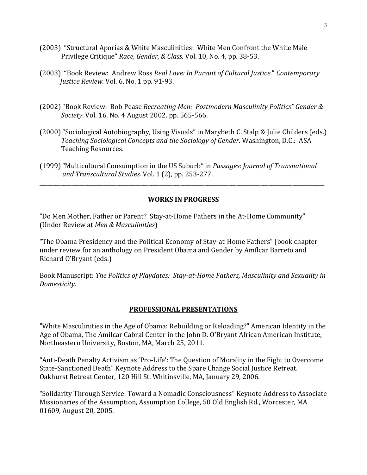- (2003) "Structural Aporias & White Masculinities: White Men Confront the White Male Privilege Critique" Race, Gender, & Class. Vol. 10, No. 4, pp. 38-53.
- (2003) "Book Review: Andrew Ross *Real Love: In Pursuit of Cultural Justice.*" *Contemporary Justice Review.* Vol. 6, No. 1 pp. 91-93.
- (2002) "Book Review: Bob Pease Recreating Men: Postmodern Masculinity Politics" Gender & *Society.* Vol. 16, No. 4 August 2002. pp. 565-566.
- (2000) "Sociological Autobiography, Using Visuals" in Marybeth C. Stalp & Julie Childers (eds.) *Teaching Sociological Concepts and the Sociology of Gender.* Washington, D.C.: ASA Teaching Resources.
- (1999) "Multicultural Consumption in the US Suburb" in *Passages: Journal of Transnational and Transcultural Studies.* Vol. 1 (2), pp. 253-277.

## **WORKS IN PROGRESS**

\_\_\_\_\_\_\_\_\_\_\_\_\_\_\_\_\_\_\_\_\_\_\_\_\_\_\_\_\_\_\_\_\_\_\_\_\_\_\_\_\_\_\_\_\_\_\_\_\_\_\_\_\_\_\_\_\_\_\_\_\_\_\_\_\_\_\_\_\_\_\_\_\_\_\_\_\_\_\_\_\_\_\_\_\_\_\_\_\_\_\_\_\_\_\_\_\_\_\_\_\_\_\_\_\_\_\_

"Do Men Mother, Father or Parent? Stay-at-Home Fathers in the At-Home Community" (Under Review at *Men & Masculinities*)

"The Obama Presidency and the Political Economy of Stay-at-Home Fathers" (book chapter under review for an anthology on President Obama and Gender by Amílcar Barreto and Richard O'Bryant (eds.)

Book Manuscript: The Politics of Playdates: Stay-at-Home Fathers, Masculinity and Sexuality in *Domesticity.*

#### **PROFESSIONAL PRESENTATIONS**

"White Masculinities in the Age of Obama: Rebuilding or Reloading?" American Identity in the Age of Obama, The Amilcar Cabral Center in the John D. O'Bryant African American Institute, Northeastern University, Boston, MA, March 25, 2011.

"Anti-Death Penalty Activism as 'Pro-Life': The Question of Morality in the Fight to Overcome State-Sanctioned Death" Keynote Address to the Spare Change Social Justice Retreat. Oakhurst Retreat Center, 120 Hill St. Whitinsville, MA, January 29, 2006.

"Solidarity Through Service: Toward a Nomadic Consciousness" Keynote Address to Associate Missionaries of the Assumption, Assumption College, 50 Old English Rd., Worcester, MA 01609, August 20, 2005.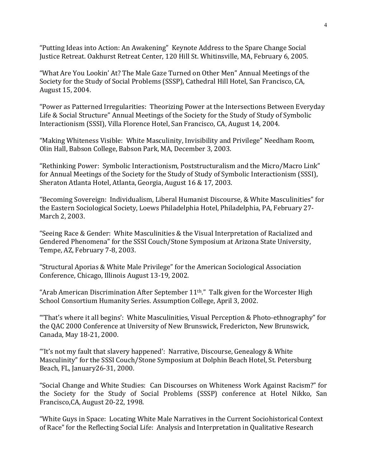"Putting Ideas into Action: An Awakening" Keynote Address to the Spare Change Social Justice Retreat. Oakhurst Retreat Center, 120 Hill St. Whitinsville, MA, February 6, 2005.

"What Are You Lookin' At? The Male Gaze Turned on Other Men" Annual Meetings of the Society for the Study of Social Problems (SSSP), Cathedral Hill Hotel, San Francisco, CA, August 15, 2004.

"Power as Patterned Irregularities: Theorizing Power at the Intersections Between Everyday Life & Social Structure" Annual Meetings of the Society for the Study of Study of Symbolic Interactionism (SSSI), Villa Florence Hotel, San Francisco, CA, August 14, 2004.

"Making Whiteness Visible: White Masculinity, Invisibility and Privilege" Needham Room, Olin Hall, Babson College, Babson Park, MA, December 3, 2003.

"Rethinking Power: Symbolic Interactionism, Poststructuralism and the Micro/Macro Link" for Annual Meetings of the Society for the Study of Study of Symbolic Interactionism (SSSI), Sheraton Atlanta Hotel, Atlanta, Georgia, August 16 & 17, 2003.

"Becoming Sovereign: Individualism, Liberal Humanist Discourse, & White Masculinities" for the Eastern Sociological Society, Loews Philadelphia Hotel, Philadelphia, PA, February 27-March 2, 2003.

"Seeing Race & Gender: White Masculinities & the Visual Interpretation of Racialized and Gendered Phenomena" for the SSSI Couch/Stone Symposium at Arizona State University, Tempe, AZ, February 7-8, 2003.

"Structural Aporias & White Male Privilege" for the American Sociological Association Conference, Chicago, Illinois August 13-19, 2002.

"Arab American Discrimination After September  $11<sup>th</sup>$ ." Talk given for the Worcester High School Consortium Humanity Series. Assumption College, April 3, 2002.

"That's where it all begins': White Masculinities, Visual Perception & Photo-ethnography" for the QAC 2000 Conference at University of New Brunswick, Fredericton, New Brunswick, Canada, May 18-21, 2000.

"It's not my fault that slavery happened': Narrative, Discourse, Genealogy  $&$  White Masculinity" for the SSSI Couch/Stone Symposium at Dolphin Beach Hotel, St. Petersburg Beach, FL, January26-31, 2000.

"Social Change and White Studies: Can Discourses on Whiteness Work Against Racism?" for the Society for the Study of Social Problems (SSSP) conference at Hotel Nikko, San Francisco, CA, August 20-22, 1998.

"White Guys in Space: Locating White Male Narratives in the Current Sociohistorical Context of Race" for the Reflecting Social Life: Analysis and Interpretation in Qualitative Research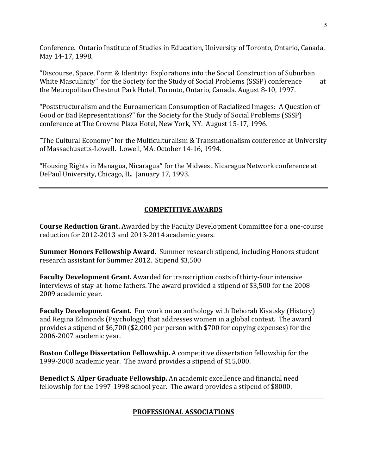Conference. Ontario Institute of Studies in Education, University of Toronto, Ontario, Canada, May 14-17, 1998.

"Discourse, Space, Form & Identity: Explorations into the Social Construction of Suburban White Masculinity" for the Society for the Study of Social Problems (SSSP) conference at the Metropolitan Chestnut Park Hotel, Toronto, Ontario, Canada, August 8-10, 1997.

"Poststructuralism and the Euroamerican Consumption of Racialized Images: A Question of Good or Bad Representations?" for the Society for the Study of Social Problems (SSSP) conference at The Crowne Plaza Hotel, New York, NY. August 15-17, 1996.

"The Cultural Economy" for the Multiculturalism & Transnationalism conference at University of Massachusetts-Lowell. Lowell, MA. October 14-16, 1994.

"Housing Rights in Managua, Nicaragua" for the Midwest Nicaragua Network conference at DePaul University, Chicago, IL. January 17, 1993.

## **COMPETITIVE AWARDS**

**Course Reduction Grant.** Awarded by the Faculty Development Committee for a one-course reduction for 2012-2013 and 2013-2014 academic vears.

**Summer Honors Fellowship Award.** Summer research stipend, including Honors student research assistant for Summer 2012. Stipend \$3,500

**Faculty Development Grant.** Awarded for transcription costs of thirty-four intensive interviews of stay-at-home fathers. The award provided a stipend of \$3,500 for the 2008-2009 academic year.

**Faculty Development Grant.** For work on an anthology with Deborah Kisatsky (History) and Regina Edmonds (Psychology) that addresses women in a global context. The award provides a stipend of  $$6,700$  ( $$2,000$  per person with  $$700$  for copying expenses) for the 2006-2007 academic year.

**Boston College Dissertation Fellowship.** A competitive dissertation fellowship for the 1999-2000 academic year. The award provides a stipend of \$15,000.

**Benedict S. Alper Graduate Fellowship.** An academic excellence and financial need fellowship for the  $1997-1998$  school year. The award provides a stipend of \$8000.

# **PROFESSIONAL ASSOCIATIONS**

\_\_\_\_\_\_\_\_\_\_\_\_\_\_\_\_\_\_\_\_\_\_\_\_\_\_\_\_\_\_\_\_\_\_\_\_\_\_\_\_\_\_\_\_\_\_\_\_\_\_\_\_\_\_\_\_\_\_\_\_\_\_\_\_\_\_\_\_\_\_\_\_\_\_\_\_\_\_\_\_\_\_\_\_\_\_\_\_\_\_\_\_\_\_\_\_\_\_\_\_\_\_\_\_\_\_\_